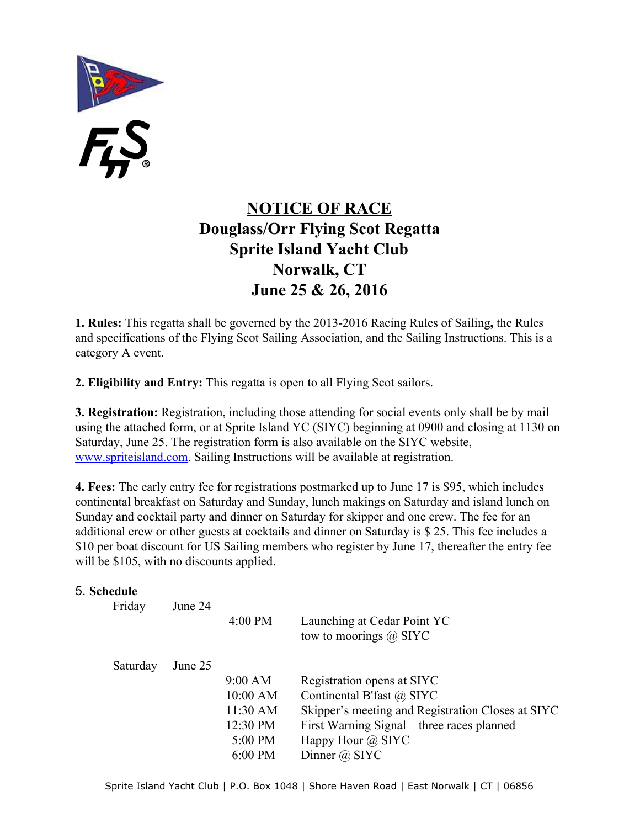F.S.

# **NOTICE OF RACE Douglass/Orr Flying Scot Regatta Sprite Island Yacht Club Norwalk, CT June 25 & 26, 2016**

**1. Rules:** This regatta shall be governed by the 2013-2016 Racing Rules of Sailing, the Rules and specifications of the Flying Scot Sailing Association, and the Sailing Instructions. This is a category A event.

**2. Eligibility and Entry:** This regatta is open to all Flying Scot sailors.

**3. Registration:** Registration, including those attending for social events only shall be by mail using the attached form, or at Sprite Island YC (SIYC) beginning at 0900 and closing at 1130 on Saturday, June 25. The registration form is also available on the SIYC website, [www.spriteisland.com.](http://www.spriteislandyc.com/) Sailing Instructions will be available at registration.

**4. Fees:** The early entry fee for registrations postmarked up to June 17 is \$95, which includes continental breakfast on Saturday and Sunday, lunch makings on Saturday and island lunch on Sunday and cocktail party and dinner on Saturday for skipper and one crew. The fee for an additional crew or other guests at cocktails and dinner on Saturday is \$ 25. This fee includes a \$10 per boat discount for US Sailing members who register by June 17, thereafter the entry fee will be \$105, with no discounts applied.

#### 5. **Schedule**

| Friday   | June 24 | $4:00$ PM | Launching at Cedar Point YC<br>tow to moorings $\omega$ SIYC |
|----------|---------|-----------|--------------------------------------------------------------|
| Saturday | June 25 |           |                                                              |
|          |         | 9:00 AM   | Registration opens at SIYC                                   |
|          |         | 10:00 AM  | Continental B'fast @ SIYC                                    |
|          |         | 11:30 AM  | Skipper's meeting and Registration Closes at SIYC            |
|          |         | 12:30 PM  | First Warning Signal – three races planned                   |
|          |         | 5:00 PM   | Happy Hour $\omega$ SIYC                                     |
|          |         | $6:00$ PM | Dinner $\omega$ SIYC                                         |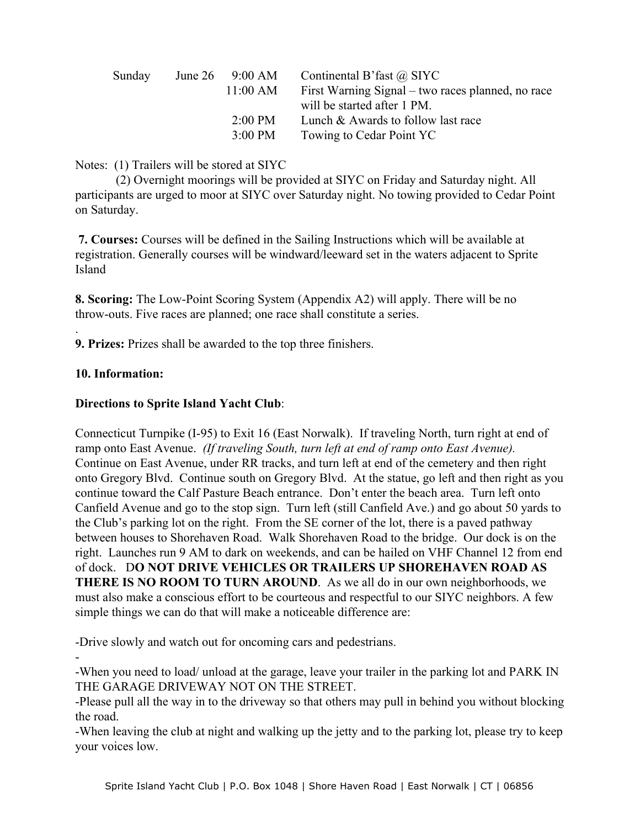| Sunday | June $26$ 9:00 AM | Continental B'fast $\omega$ SIYC                  |
|--------|-------------------|---------------------------------------------------|
|        | 11:00 AM          | First Warning Signal – two races planned, no race |
|        |                   | will be started after 1 PM.                       |
|        | $2:00 \text{ PM}$ | Lunch & Awards to follow last race                |
|        | $3:00 \text{ PM}$ | Towing to Cedar Point YC                          |

Notes: (1) Trailers will be stored at SIYC

(2) Overnight moorings will be provided at SIYC on Friday and Saturday night. All participants are urged to moor at SIYC over Saturday night. No towing provided to Cedar Point on Saturday.

**7. Courses:** Courses will be defined in the Sailing Instructions which will be available at registration. Generally courses will be windward/leeward set in the waters adjacent to Sprite Island

**8. Scoring:** The Low-Point Scoring System (Appendix A2) will apply. There will be no throw-outs. Five races are planned; one race shall constitute a series.

**9. Prizes:** Prizes shall be awarded to the top three finishers.

## **10. Information:**

.

## **Directions to Sprite Island Yacht Club**:

Connecticut Turnpike (I-95) to Exit 16 (East Norwalk). If traveling North, turn right at end of ramp onto East Avenue. *(If traveling South, turn left at end of ramp onto East Avenue).* Continue on East Avenue, under RR tracks, and turn left at end of the cemetery and then right onto Gregory Blvd. Continue south on Gregory Blvd. At the statue, go left and then right as you continue toward the Calf Pasture Beach entrance. Don't enter the beach area. Turn left onto Canfield Avenue and go to the stop sign. Turn left (still Canfield Ave.) and go about 50 yards to the Club's parking lot on the right. From the SE corner of the lot, there is a paved pathway between houses to Shorehaven Road. Walk Shorehaven Road to the bridge. Our dock is on the right. Launches run 9 AM to dark on weekends, and can be hailed on VHF Channel 12 from end of dock. D**O NOT DRIVE VEHICLES OR TRAILERS UP SHOREHAVEN ROAD AS THERE IS NO ROOM TO TURN AROUND**. As we all do in our own neighborhoods, we must also make a conscious effort to be courteous and respectful to our SIYC neighbors. A few simple things we can do that will make a noticeable difference are:

Drive slowly and watch out for oncoming cars and pedestrians.

 $\overline{\phantom{a}}$ When you need to load/ unload at the garage, leave your trailer in the parking lot and PARK IN THE GARAGE DRIVEWAY NOT ON THE STREET.

Please pull all the way in to the driveway so that others may pull in behind you without blocking the road.

When leaving the club at night and walking up the jetty and to the parking lot, please try to keep your voices low.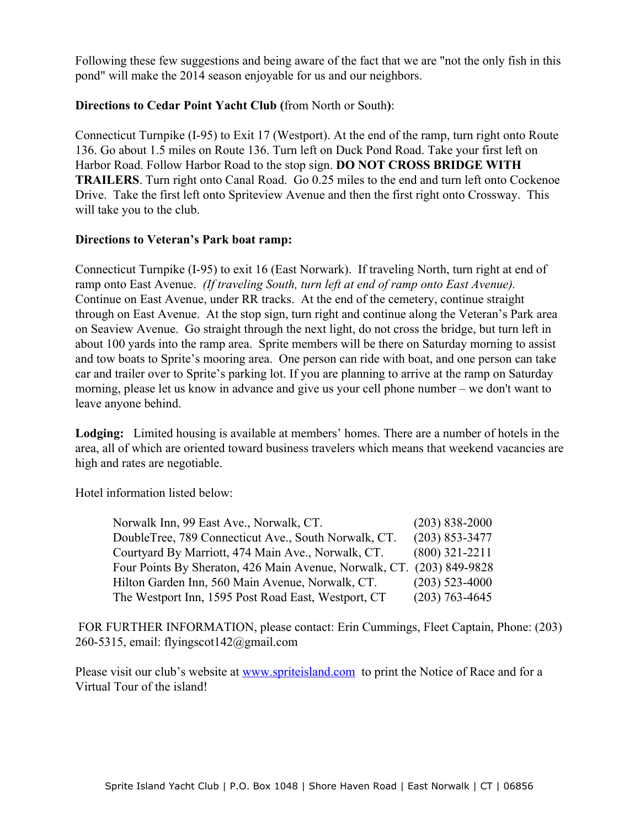Following these few suggestions and being aware of the fact that we are "not the only fish in this pond" will make the 2014 season enjoyable for us and our neighbors.

#### **Directions to Cedar Point Yacht Club (**from North or South**)**:

Connecticut Turnpike (I-95) to Exit 17 (Westport). At the end of the ramp, turn right onto Route 136. Go about 1.5 miles on Route 136. Turn left on Duck Pond Road. Take your first left on Harbor Road. Follow Harbor Road to the stop sign. **DO NOT CROSS BRIDGE WITH TRAILERS**. Turn right onto Canal Road. Go 0.25 miles to the end and turn left onto Cockenoe Drive. Take the first left onto Spriteview Avenue and then the first right onto Crossway. This will take you to the club.

#### **Directions to Veteran's Park boat ramp:**

Connecticut Turnpike (I-95) to exit 16 (East Norwark). If traveling North, turn right at end of ramp onto East Avenue. *(If traveling South, turn left at end of ramp onto East Avenue).* Continue on East Avenue, under RR tracks. At the end of the cemetery, continue straight through on East Avenue. At the stop sign, turn right and continue along the Veteran's Park area on Seaview Avenue. Go straight through the next light, do not cross the bridge, but turn left in about 100 yards into the ramp area. Sprite members will be there on Saturday morning to assist and tow boats to Sprite's mooring area. One person can ride with boat, and one person can take car and trailer over to Sprite's parking lot. If you are planning to arrive at the ramp on Saturday morning, please let us know in advance and give us your cell phone number – we don't want to leave anyone behind.

**Lodging:** Limited housing is available at members' homes. There are a number of hotels in the area, all of which are oriented toward business travelers which means that weekend vacancies are high and rates are negotiable.

Hotel information listed below:

| Norwalk Inn, 99 East Ave., Norwalk, CT.                | $(203) 838 - 2000$ |
|--------------------------------------------------------|--------------------|
| DoubleTree, 789 Connecticut Ave., South Norwalk, CT.   | $(203)$ 853-3477   |
| Courtyard By Marriott, 474 Main Ave., Norwalk, CT.     | $(800)$ 321-2211   |
| Four Points By Sheraton, 426 Main Avenue, Norwalk, CT. | $(203)$ 849-9828   |
| Hilton Garden Inn, 560 Main Avenue, Norwalk, CT.       | $(203)$ 523-4000   |
| The Westport Inn, 1595 Post Road East, Westport, CT    | $(203)$ 763-4645   |

FOR FURTHER INFORMATION, please contact: Erin Cummings, Fleet Captain, Phone: (203) 260-5315, email: flyingscot142@gmail.com

Please visit our club's website at [www.spriteisland.com](http://www.spriteisland.com/) to print the Notice of Race and for a Virtual Tour of the island!